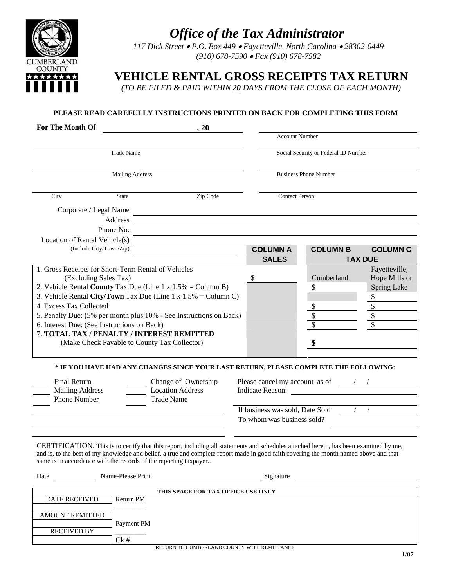

CUMBERLAND **COUNTY** \*\*\*\*\*\*\* *117 Dick Street* • *P.O. Box 449* • *Fayetteville, North Carolina* • *28302-0449 (910) 678-7590* • *Fax (910) 678-7582*

 **VEHICLE RENTAL GROSS RECEIPTS TAX RETURN** 

 *(TO BE FILED & PAID WITHIN 20 DAYS FROM THE CLOSE OF EACH MONTH)* 

# **PLEASE READ CAREFULLY INSTRUCTIONS PRINTED ON BACK FOR COMPLETING THIS FORM**

| <b>For The Month Of</b>                                                                    | , 20                                                                                                                                  |                                                                  |                                      |                 |                                |  |
|--------------------------------------------------------------------------------------------|---------------------------------------------------------------------------------------------------------------------------------------|------------------------------------------------------------------|--------------------------------------|-----------------|--------------------------------|--|
|                                                                                            |                                                                                                                                       |                                                                  | <b>Account Number</b>                |                 |                                |  |
| <b>Trade Name</b>                                                                          |                                                                                                                                       |                                                                  | Social Security or Federal ID Number |                 |                                |  |
| <b>Mailing Address</b>                                                                     |                                                                                                                                       |                                                                  | <b>Business Phone Number</b>         |                 |                                |  |
| City                                                                                       | Zip Code<br><b>State</b>                                                                                                              |                                                                  | <b>Contact Person</b>                |                 |                                |  |
| Corporate / Legal Name                                                                     |                                                                                                                                       |                                                                  |                                      |                 |                                |  |
|                                                                                            | Address                                                                                                                               |                                                                  |                                      |                 |                                |  |
| Phone No.                                                                                  |                                                                                                                                       |                                                                  |                                      |                 |                                |  |
| Location of Rental Vehicle(s)                                                              |                                                                                                                                       |                                                                  |                                      |                 |                                |  |
| (Include City/Town/Zip)                                                                    |                                                                                                                                       | <b>COLUMN A</b>                                                  |                                      | <b>COLUMN B</b> | <b>COLUMN C</b>                |  |
|                                                                                            |                                                                                                                                       |                                                                  | <b>SALES</b>                         |                 | <b>TAX DUE</b>                 |  |
| 1. Gross Receipts for Short-Term Rental of Vehicles<br>(Excluding Sales Tax)               |                                                                                                                                       |                                                                  |                                      | Cumberland      | Fayetteville,<br>Hope Mills or |  |
|                                                                                            | 2. Vehicle Rental County Tax Due (Line $1 \times 1.5\% = \text{Column } B$ )                                                          |                                                                  |                                      | \$              | <b>Spring Lake</b>             |  |
| 3. Vehicle Rental City/Town Tax Due (Line 1 x $1.5\%$ = Column C)                          |                                                                                                                                       |                                                                  |                                      |                 | \$                             |  |
| 4. Excess Tax Collected                                                                    |                                                                                                                                       |                                                                  |                                      | \$              | \$                             |  |
| 5. Penalty Due: (5% per month plus 10% - See Instructions on Back)                         |                                                                                                                                       |                                                                  |                                      |                 | \$                             |  |
| 6. Interest Due: (See Instructions on Back)                                                |                                                                                                                                       |                                                                  |                                      |                 |                                |  |
| 7. TOTAL TAX / PENALTY / INTEREST REMITTED<br>(Make Check Payable to County Tax Collector) |                                                                                                                                       |                                                                  |                                      |                 |                                |  |
|                                                                                            | * IF YOU HAVE HAD ANY CHANGES SINCE YOUR LAST RETURN, PLEASE COMPLETE THE FOLLOWING:                                                  |                                                                  |                                      |                 |                                |  |
| Final Return                                                                               | Change of Ownership                                                                                                                   |                                                                  |                                      |                 |                                |  |
| <b>Mailing Address</b>                                                                     | <b>Location Address</b>                                                                                                               | Please cancel my account as of $\sqrt{2\pi}$<br>Indicate Reason: |                                      |                 |                                |  |
| Phone Number                                                                               | <b>Trade Name</b>                                                                                                                     |                                                                  |                                      |                 |                                |  |
|                                                                                            |                                                                                                                                       | If business was sold, Date Sold                                  |                                      | $\sqrt{2}$      |                                |  |
|                                                                                            |                                                                                                                                       | To whom was business sold?                                       |                                      |                 |                                |  |
|                                                                                            |                                                                                                                                       |                                                                  |                                      |                 |                                |  |
|                                                                                            |                                                                                                                                       |                                                                  |                                      |                 |                                |  |
|                                                                                            | CERTIFICATION. This is to certify that this report, including all statements and schedules attached hereto, has been examined by me,  |                                                                  |                                      |                 |                                |  |
|                                                                                            | and is, to the best of my knowledge and belief, a true and complete report made in good faith covering the month named above and that |                                                                  |                                      |                 |                                |  |
|                                                                                            | same is in accordance with the records of the reporting taxpayer                                                                      |                                                                  |                                      |                 |                                |  |

| Date                                        | Name-Please Print | Signature |  |  |
|---------------------------------------------|-------------------|-----------|--|--|
|                                             |                   |           |  |  |
| THIS SPACE FOR TAX OFFICE USE ONLY          |                   |           |  |  |
| <b>DATE RECEIVED</b>                        | Return PM         |           |  |  |
|                                             |                   |           |  |  |
| <b>AMOUNT REMITTED</b>                      |                   |           |  |  |
|                                             | Payment PM        |           |  |  |
| <b>RECEIVED BY</b>                          |                   |           |  |  |
|                                             | $Ck \#$           |           |  |  |
| RETURN TO CUMBERLAND COUNTY WITH REMITTANCE |                   |           |  |  |